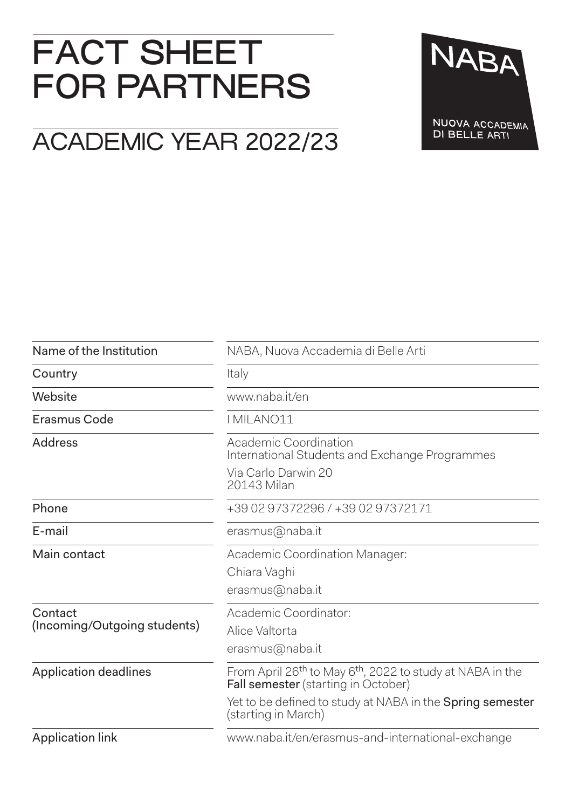# FACT SHEET FOR PARTNERS

## ACADEMIC YEAR 2022/23

NABA NUOVA ACCADEMIA DI BELLE ARTI

| Name of the Institution                 | NABA, Nuova Accademia di Belle Arti                                                                                             |  |
|-----------------------------------------|---------------------------------------------------------------------------------------------------------------------------------|--|
| Country                                 | Italy                                                                                                                           |  |
| Website                                 | www.naba.it/en                                                                                                                  |  |
| Erasmus Code                            | I MILANO11                                                                                                                      |  |
| <b>Address</b>                          | Academic Coordination<br>International Students and Exchange Programmes<br>Via Carlo Darwin 20                                  |  |
|                                         | 20143 Milan                                                                                                                     |  |
| Phone                                   | +39 02 97372296 / +39 02 97372171                                                                                               |  |
| E-mail                                  | erasmus@naba.it                                                                                                                 |  |
| Main contact                            | Academic Coordination Manager:                                                                                                  |  |
|                                         | Chiara Vaghi                                                                                                                    |  |
|                                         | erasmus@naba.it                                                                                                                 |  |
| Contact<br>(Incoming/Outgoing students) | Academic Coordinator:                                                                                                           |  |
|                                         | Alice Valtorta                                                                                                                  |  |
|                                         | erasmus@naba.it                                                                                                                 |  |
| <b>Application deadlines</b>            | From April 26 <sup>th</sup> to May 6 <sup>th</sup> , 2022 to study at NABA in the<br><b>Fall semester</b> (starting in October) |  |
|                                         | Yet to be defined to study at NABA in the <b>Spring semester</b><br>(starting in March)                                         |  |
| <b>Application link</b>                 | www.naba.it/en/erasmus-and-international-exchange                                                                               |  |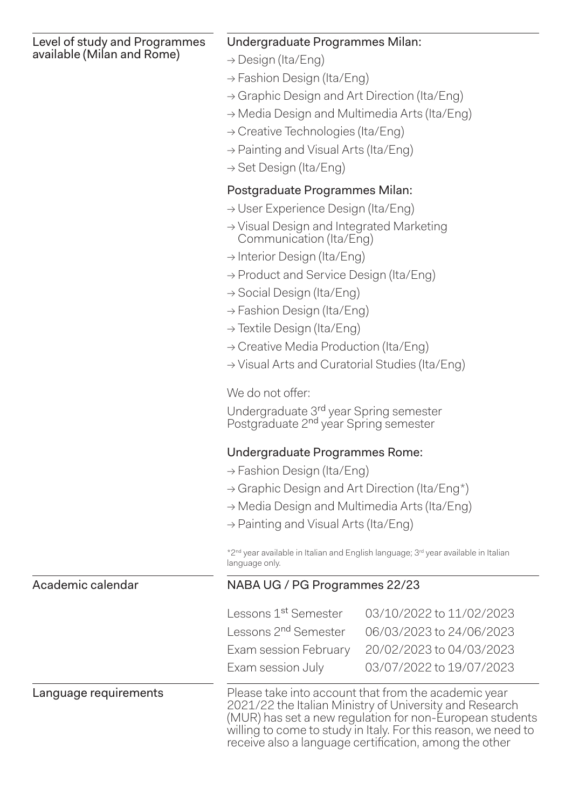Level of study and Programmes available (Milan and Rome)

#### Undergraduate Programmes Milan:

- → Design (Ita/Eng)
- → Fashion Design (Ita/Eng)
- → Graphic Design and Art Direction (Ita/Eng)
- → Media Design and Multimedia Arts (Ita/Eng)
- $\rightarrow$  Creative Technologies (Ita/Eng)
- $\rightarrow$  Painting and Visual Arts (Ita/Eng)
- → Set Design (Ita/Eng)

### Postgraduate Programmes Milan:

- → User Experience Design (Ita/Eng)
- → Visual Design and Integrated Marketing Communication (Ita/Eng)
- → Interior Design (Ita/Eng)
- → Product and Service Design (Ita/Eng)
- → Social Design (Ita/Eng)
- → Fashion Design (Ita/Eng)
- → Textile Design (Ita/Eng)
- → Creative Media Production (Ita/Eng)
- → Visual Arts and Curatorial Studies (Ita/Eng)

We do not offer:

Undergraduate 3rd year Spring semester Postgraduate 2nd year Spring semester

### Undergraduate Programmes Rome:

- $\rightarrow$  Fashion Design (Ita/Eng)
- → Graphic Design and Art Direction (Ita/Eng\*)
- → Media Design and Multimedia Arts (Ita/Eng)
- $\rightarrow$  Painting and Visual Arts (Ita/Eng)

\*2nd year available in Italian and English language; 3rd year available in Italian language only.

#### Academic calendar NABA UG / PG Programmes 22/23

| Lessons 1 <sup>st</sup> Semester | 03/10/2022 to 11/02/2023 |
|----------------------------------|--------------------------|
| Lessons 2 <sup>nd</sup> Semester | 06/03/2023 to 24/06/2023 |
| Exam session February            | 20/02/2023 to 04/03/2023 |
| Exam session July                | 03/07/2022 to 19/07/2023 |

**Language requirements** Please take into account that from the academic year 2021/22 the Italian Ministry of University and Research (MUR) has set a new regulation for non-European students willing to come to study in Italy. For this reason, we need to receive also a language certification, among the other